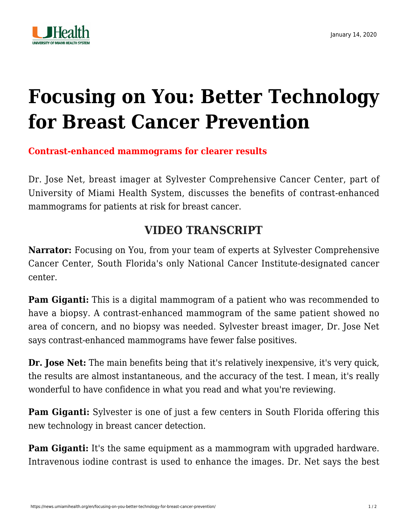

## **[Focusing on You: Better Technology](https://news.umiamihealth.org/en/focusing-on-you-better-technology-for-breast-cancer-prevention/) [for Breast Cancer Prevention](https://news.umiamihealth.org/en/focusing-on-you-better-technology-for-breast-cancer-prevention/)**

## **Contrast-enhanced mammograms for clearer results**

Dr. Jose Net, breast imager at [Sylvester Comprehensive Cancer Center,](https://umiamihealth.org/sylvester-comprehensive-cancer-center/treatments-and-services/breast-cancer) part of University of Miami Health System, discusses the benefits of contrast-enhanced mammograms for patients at risk for breast cancer.

## **VIDEO TRANSCRIPT**

**Narrator:** Focusing on You, from your team of experts at Sylvester Comprehensive Cancer Center, South Florida's only National Cancer Institute-designated cancer center.

**Pam Giganti:** This is a digital mammogram of a patient who was recommended to have a biopsy. A contrast-enhanced mammogram of the same patient showed no area of concern, and no biopsy was needed. Sylvester breast imager, Dr. Jose Net says contrast-enhanced mammograms have fewer false positives.

**Dr. Jose Net:** The main benefits being that it's relatively inexpensive, it's very quick, the results are almost instantaneous, and the accuracy of the test. I mean, it's really wonderful to have confidence in what you read and what you're reviewing.

**Pam Giganti:** Sylvester is one of just a few centers in South Florida offering this new technology in breast cancer detection.

**Pam Giganti:** It's the same equipment as a mammogram with upgraded hardware. Intravenous iodine contrast is used to enhance the images. Dr. Net says the best